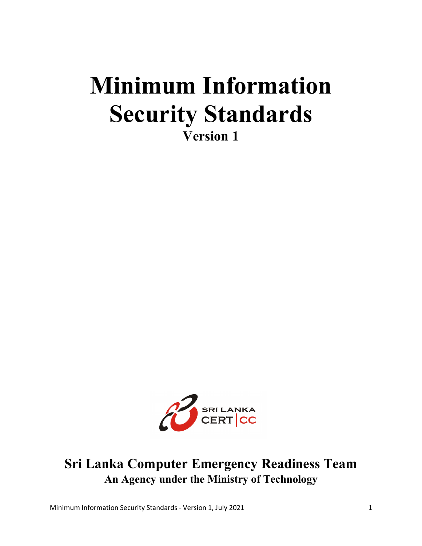# **Minimum Information Security Standards Version 1**



### **Sri Lanka Computer Emergency Readiness Team An Agency under the Ministry of Technology**

Minimum Information Security Standards - Version 1, July 2021 1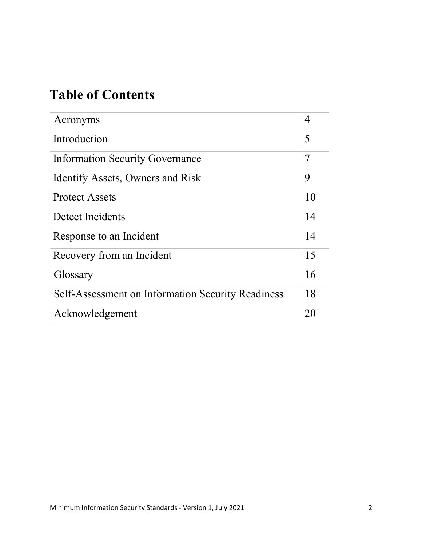# **Table of Contents**

| Acronyms                                          | 4  |
|---------------------------------------------------|----|
| Introduction                                      | 5  |
| <b>Information Security Governance</b>            | 7  |
| Identify Assets, Owners and Risk                  | 9  |
| <b>Protect Assets</b>                             | 10 |
| Detect Incidents                                  | 14 |
| Response to an Incident                           | 14 |
| Recovery from an Incident                         | 15 |
| Glossary                                          | 16 |
| Self-Assessment on Information Security Readiness | 18 |
| Acknowledgement                                   | 20 |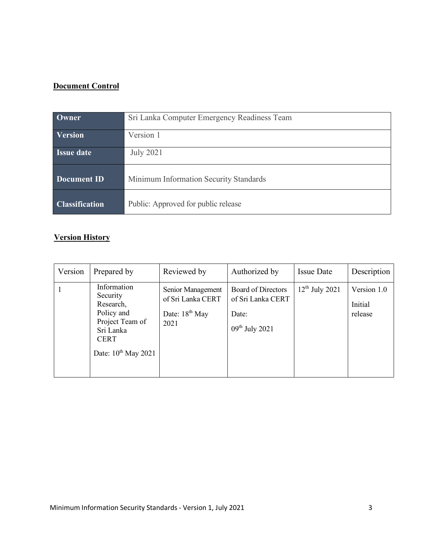#### **Document Control**

| <b>Owner</b>                                             | Sri Lanka Computer Emergency Readiness Team |
|----------------------------------------------------------|---------------------------------------------|
|                                                          |                                             |
| Version                                                  | Version 1                                   |
|                                                          |                                             |
| <b>Issue date</b>                                        | <b>July 2021</b>                            |
|                                                          |                                             |
|                                                          |                                             |
| $\overline{\mathbf{D}$ Document $\overline{\mathbf{ID}}$ | Minimum Information Security Standards      |
|                                                          |                                             |
|                                                          |                                             |
| <b>Classification</b>                                    | Public: Approved for public release         |
|                                                          |                                             |

### **Version History**

| Version | Prepared by                                                                                                                   | Reviewed by                                                        | Authorized by                                                               | <b>Issue Date</b>   | Description                       |
|---------|-------------------------------------------------------------------------------------------------------------------------------|--------------------------------------------------------------------|-----------------------------------------------------------------------------|---------------------|-----------------------------------|
|         | Information<br>Security<br>Research,<br>Policy and<br>Project Team of<br>Sri Lanka<br><b>CERT</b><br>Date: $10^{th}$ May 2021 | Senior Management<br>of Sri Lanka CERT<br>Date: $18th$ May<br>2021 | <b>Board of Directors</b><br>of Sri Lanka CERT<br>Date:<br>$09th$ July 2021 | $12^{th}$ July 2021 | Version 1.0<br>Initial<br>release |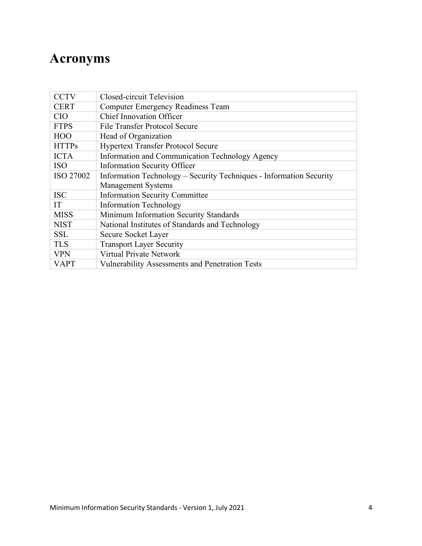# **Acronyms**

| <b>CCTV</b>  | Closed-circuit Television                                           |
|--------------|---------------------------------------------------------------------|
| <b>CERT</b>  | <b>Computer Emergency Readiness Team</b>                            |
| <b>CIO</b>   | <b>Chief Innovation Officer</b>                                     |
| <b>FTPS</b>  | File Transfer Protocol Secure                                       |
| <b>HOO</b>   | Head of Organization                                                |
| <b>HTTPs</b> | <b>Hypertext Transfer Protocol Secure</b>                           |
| <b>ICTA</b>  | Information and Communication Technology Agency                     |
| <b>ISO</b>   | <b>Information Security Officer</b>                                 |
| ISO 27002    | Information Technology – Security Techniques - Information Security |
|              | <b>Management Systems</b>                                           |
| <b>ISC</b>   | <b>Information Security Committee</b>                               |
| IT           | <b>Information Technology</b>                                       |
| <b>MISS</b>  | Minimum Information Security Standards                              |
| <b>NIST</b>  | National Institutes of Standards and Technology                     |
| <b>SSL</b>   | Secure Socket Layer                                                 |
| <b>TLS</b>   | <b>Transport Layer Security</b>                                     |
| <b>VPN</b>   | <b>Virtual Private Network</b>                                      |
| <b>VAPT</b>  | <b>Vulnerability Assessments and Penetration Tests</b>              |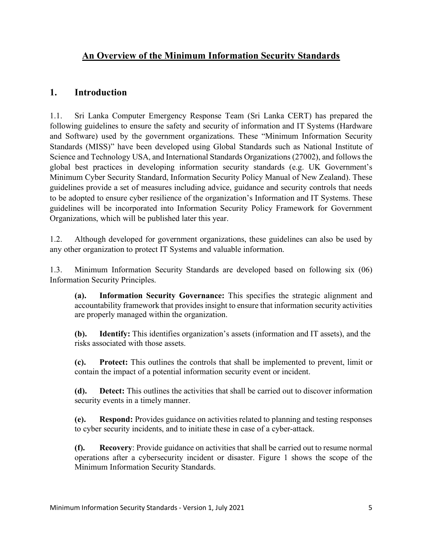#### **An Overview of the Minimum Information Security Standards**

#### **1. Introduction**

1.1. Sri Lanka Computer Emergency Response Team (Sri Lanka CERT) has prepared the following guidelines to ensure the safety and security of information and IT Systems (Hardware and Software) used by the government organizations. These "Minimum Information Security Standards (MISS)" have been developed using Global Standards such as National Institute of Science and Technology USA, and International Standards Organizations (27002), and followsthe global best practices in developing information security standards (e.g. UK Government's Minimum Cyber Security Standard, Information Security Policy Manual of New Zealand). These guidelines provide a set of measures including advice, guidance and security controls that needs to be adopted to ensure cyber resilience of the organization's Information and IT Systems. These guidelines will be incorporated into Information Security Policy Framework for Government Organizations, which will be published later this year.

1.2. Although developed for government organizations, these guidelines can also be used by any other organization to protect IT Systems and valuable information.

1.3. Minimum Information Security Standards are developed based on following six (06) Information Security Principles.

**(a). Information Security Governance:** This specifies the strategic alignment and accountability framework that provides insight to ensure that information security activities are properly managed within the organization.

**(b). Identify:** This identifies organization's assets (information and IT assets), and the risks associated with those assets.

**(c). Protect:** This outlines the controls that shall be implemented to prevent, limit or contain the impact of a potential information security event or incident.

**(d). Detect:** This outlines the activities that shall be carried out to discover information security events in a timely manner.

**(e). Respond:** Provides guidance on activities related to planning and testing responses to cyber security incidents, and to initiate these in case of a cyber-attack.

**(f). Recovery**: Provide guidance on activities that shall be carried out to resume normal operations after a cybersecurity incident or disaster. Figure 1 shows the scope of the Minimum Information Security Standards.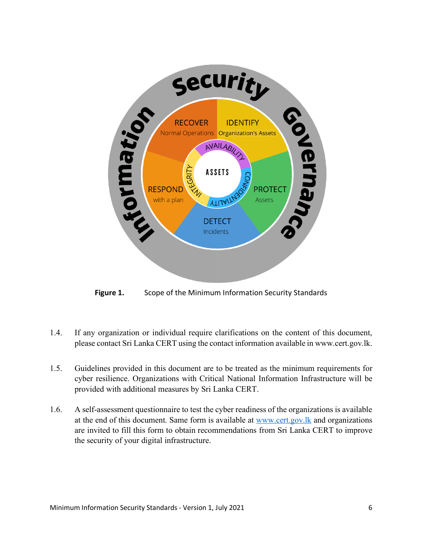

**Figure 1.** Scope of the Minimum Information Security Standards

- 1.4. If any organization or individual require clarifications on the content of this document, please contact Sri Lanka CERT using the contact information available in www.cert.gov.lk.
- 1.5. Guidelines provided in this document are to be treated as the minimum requirements for cyber resilience. Organizations with Critical National Information Infrastructure will be provided with additional measures by Sri Lanka CERT.
- 1.6. A self-assessment questionnaire to test the cyber readiness of the organizations is available at the end of this document. Same form is available at www.cert.gov.lk and organizations are invited to fill this form to obtain recommendations from Sri Lanka CERT to improve the security of your digital infrastructure.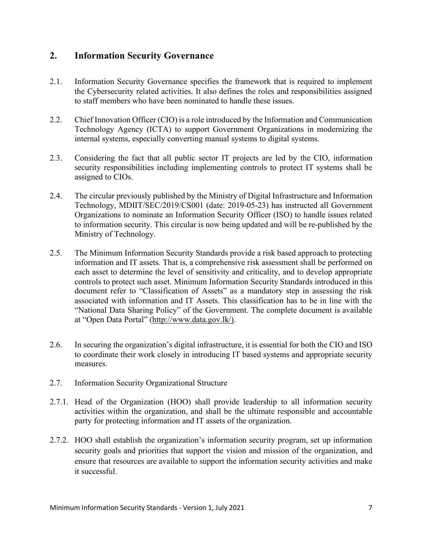#### **2. Information Security Governance**

- 2.1. Information Security Governance specifies the framework that is required to implement the Cybersecurity related activities. It also defines the roles and responsibilities assigned to staff members who have been nominated to handle these issues.
- 2.2. Chief Innovation Officer (CIO) is a role introduced by the Information and Communication Technology Agency (ICTA) to support Government Organizations in modernizing the internal systems, especially converting manual systems to digital systems.
- 2.3. Considering the fact that all public sector IT projects are led by the CIO, information security responsibilities including implementing controls to protect IT systems shall be assigned to CIOs.
- 2.4. The circular previously published by the Ministry of Digital Infrastructure and Information Technology, MDIIT/SEC/2019/CS001 (date: 2019-05-23) has instructed all Government Organizations to nominate an Information Security Officer (ISO) to handle issues related to information security. This circular is now being updated and will be re-published by the Ministry of Technology.
- 2.5. The Minimum Information Security Standards provide a risk based approach to protecting information and IT assets. That is, a comprehensive risk assessment shall be performed on each asset to determine the level of sensitivity and criticality, and to develop appropriate controls to protect such asset. Minimum Information Security Standards introduced in this document refer to "Classification of Assets" as a mandatory step in assessing the risk associated with information and IT Assets. This classification has to be in line with the "National Data Sharing Policy" of the Government. The complete document is available at "Open Data Portal" (http://www.data.gov.lk/).
- 2.6. In securing the organization's digital infrastructure, it is essential for both the CIO and ISO to coordinate their work closely in introducing IT based systems and appropriate security measures.
- 2.7. Information Security Organizational Structure
- 2.7.1. Head of the Organization (HOO) shall provide leadership to all information security activities within the organization, and shall be the ultimate responsible and accountable party for protecting information and IT assets of the organization.
- 2.7.2. HOO shall establish the organization's information security program, set up information security goals and priorities that support the vision and mission of the organization, and ensure that resources are available to support the information security activities and make it successful.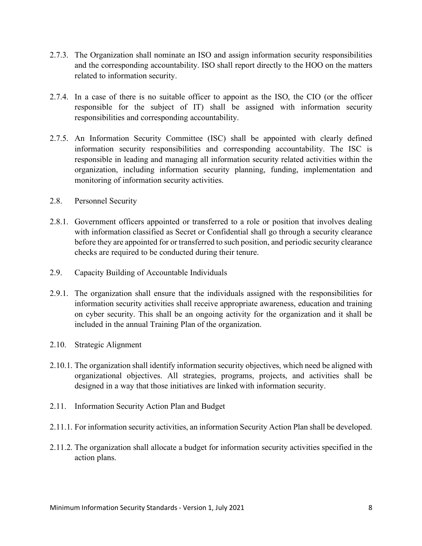- 2.7.3. The Organization shall nominate an ISO and assign information security responsibilities and the corresponding accountability. ISO shall report directly to the HOO on the matters related to information security.
- 2.7.4. In a case of there is no suitable officer to appoint as the ISO, the CIO (or the officer responsible for the subject of IT) shall be assigned with information security responsibilities and corresponding accountability.
- 2.7.5. An Information Security Committee (ISC) shall be appointed with clearly defined information security responsibilities and corresponding accountability. The ISC is responsible in leading and managing all information security related activities within the organization, including information security planning, funding, implementation and monitoring of information security activities.
- 2.8. Personnel Security
- 2.8.1. Government officers appointed or transferred to a role or position that involves dealing with information classified as Secret or Confidential shall go through a security clearance before they are appointed for or transferred to such position, and periodic security clearance checks are required to be conducted during their tenure.
- 2.9. Capacity Building of Accountable Individuals
- 2.9.1. The organization shall ensure that the individuals assigned with the responsibilities for information security activities shall receive appropriate awareness, education and training on cyber security. This shall be an ongoing activity for the organization and it shall be included in the annual Training Plan of the organization.
- 2.10. Strategic Alignment
- 2.10.1. The organization shall identify information security objectives, which need be aligned with organizational objectives. All strategies, programs, projects, and activities shall be designed in a way that those initiatives are linked with information security.
- 2.11. Information Security Action Plan and Budget
- 2.11.1. For information security activities, an information Security Action Plan shall be developed.
- 2.11.2. The organization shall allocate a budget for information security activities specified in the action plans.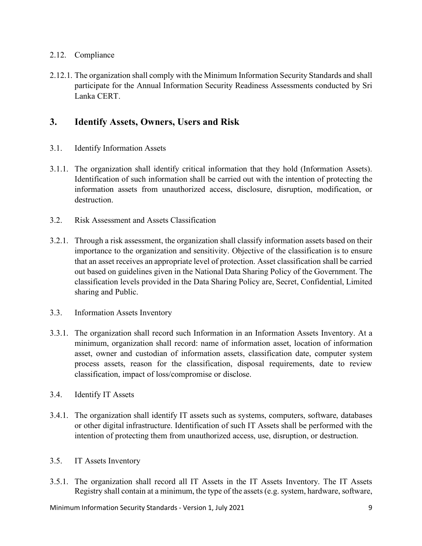#### 2.12. Compliance

2.12.1. The organization shall comply with the Minimum Information Security Standards and shall participate for the Annual Information Security Readiness Assessments conducted by Sri Lanka CERT.

#### **3. Identify Assets, Owners, Users and Risk**

- 3.1. Identify Information Assets
- 3.1.1. The organization shall identify critical information that they hold (Information Assets). Identification of such information shall be carried out with the intention of protecting the information assets from unauthorized access, disclosure, disruption, modification, or destruction.
- 3.2. Risk Assessment and Assets Classification
- 3.2.1. Through a risk assessment, the organization shall classify information assets based on their importance to the organization and sensitivity. Objective of the classification is to ensure that an asset receives an appropriate level of protection. Asset classification shall be carried out based on guidelines given in the National Data Sharing Policy of the Government. The classification levels provided in the Data Sharing Policy are, Secret, Confidential, Limited sharing and Public.
- 3.3. Information Assets Inventory
- 3.3.1. The organization shall record such Information in an Information Assets Inventory. At a minimum, organization shall record: name of information asset, location of information asset, owner and custodian of information assets, classification date, computer system process assets, reason for the classification, disposal requirements, date to review classification, impact of loss/compromise or disclose.
- 3.4. Identify IT Assets
- 3.4.1. The organization shall identify IT assets such as systems, computers, software, databases or other digital infrastructure. Identification of such IT Assets shall be performed with the intention of protecting them from unauthorized access, use, disruption, or destruction.
- 3.5. IT Assets Inventory
- 3.5.1. The organization shall record all IT Assets in the IT Assets Inventory. The IT Assets Registry shall contain at a minimum, the type of the assets (e.g. system, hardware, software,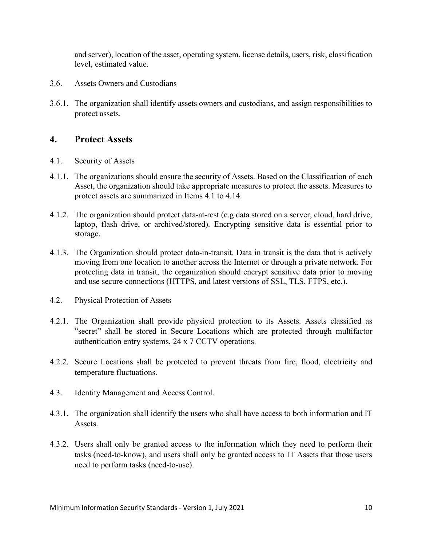and server), location of the asset, operating system, license details, users, risk, classification level, estimated value.

- 3.6. Assets Owners and Custodians
- 3.6.1. The organization shall identify assets owners and custodians, and assign responsibilities to protect assets.

#### **4. Protect Assets**

- 4.1. Security of Assets
- 4.1.1. The organizations should ensure the security of Assets. Based on the Classification of each Asset, the organization should take appropriate measures to protect the assets. Measures to protect assets are summarized in Items 4.1 to 4.14.
- 4.1.2. The organization should protect data-at-rest (e.g data stored on a server, cloud, hard drive, laptop, flash drive, or archived/stored). Encrypting sensitive data is essential prior to storage.
- 4.1.3. The Organization should protect data-in-transit. Data in transit is the data that is actively moving from one location to another across the Internet or through a private network. For protecting data in transit, the organization should encrypt sensitive data prior to moving and use secure connections (HTTPS, and latest versions of SSL, TLS, FTPS, etc.).
- 4.2. Physical Protection of Assets
- 4.2.1. The Organization shall provide physical protection to its Assets. Assets classified as "secret" shall be stored in Secure Locations which are protected through multifactor authentication entry systems, 24 x 7 CCTV operations.
- 4.2.2. Secure Locations shall be protected to prevent threats from fire, flood, electricity and temperature fluctuations.
- 4.3. Identity Management and Access Control.
- 4.3.1. The organization shall identify the users who shall have access to both information and IT Assets.
- 4.3.2. Users shall only be granted access to the information which they need to perform their tasks (need-to-know), and users shall only be granted access to IT Assets that those users need to perform tasks (need-to-use).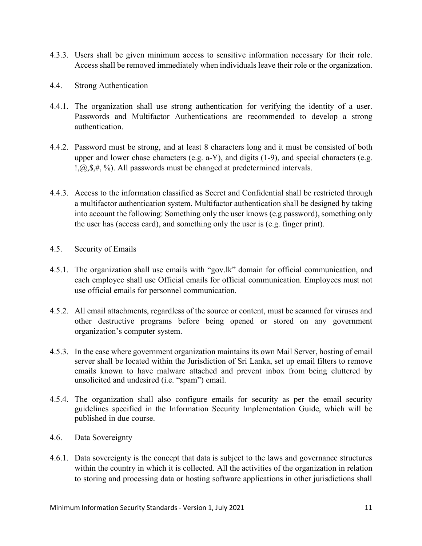- 4.3.3. Users shall be given minimum access to sensitive information necessary for their role. Access shall be removed immediately when individuals leave their role or the organization.
- 4.4. Strong Authentication
- 4.4.1. The organization shall use strong authentication for verifying the identity of a user. Passwords and Multifactor Authentications are recommended to develop a strong authentication.
- 4.4.2. Password must be strong, and at least 8 characters long and it must be consisted of both upper and lower chase characters (e.g. a-Y), and digits (1-9), and special characters (e.g. !,@,\$,#, %). All passwords must be changed at predetermined intervals.
- 4.4.3. Access to the information classified as Secret and Confidential shall be restricted through a multifactor authentication system. Multifactor authentication shall be designed by taking into account the following: Something only the user knows (e.g password), something only the user has (access card), and something only the user is (e.g. finger print).
- 4.5. Security of Emails
- 4.5.1. The organization shall use emails with "gov.lk" domain for official communication, and each employee shall use Official emails for official communication. Employees must not use official emails for personnel communication.
- 4.5.2. All email attachments, regardless of the source or content, must be scanned for viruses and other destructive programs before being opened or stored on any government organization's computer system.
- 4.5.3. In the case where government organization maintains its own Mail Server, hosting of email server shall be located within the Jurisdiction of Sri Lanka, set up email filters to remove emails known to have malware attached and prevent inbox from being cluttered by unsolicited and undesired (i.e. "spam") email.
- 4.5.4. The organization shall also configure emails for security as per the email security guidelines specified in the Information Security Implementation Guide, which will be published in due course.
- 4.6. Data Sovereignty
- 4.6.1. Data sovereignty is the concept that data is subject to the laws and governance structures within the country in which it is collected. All the activities of the organization in relation to storing and processing data or hosting software applications in other jurisdictions shall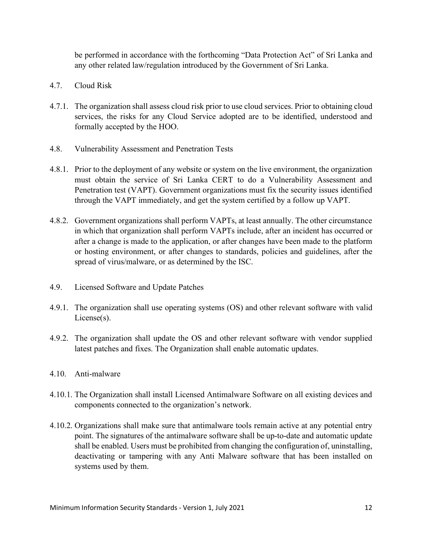be performed in accordance with the forthcoming "Data Protection Act" of Sri Lanka and any other related law/regulation introduced by the Government of Sri Lanka.

- 4.7. Cloud Risk
- 4.7.1. The organization shall assess cloud risk prior to use cloud services. Prior to obtaining cloud services, the risks for any Cloud Service adopted are to be identified, understood and formally accepted by the HOO.
- 4.8. Vulnerability Assessment and Penetration Tests
- 4.8.1. Prior to the deployment of any website or system on the live environment, the organization must obtain the service of Sri Lanka CERT to do a Vulnerability Assessment and Penetration test (VAPT). Government organizations must fix the security issues identified through the VAPT immediately, and get the system certified by a follow up VAPT.
- 4.8.2. Government organizations shall perform VAPTs, at least annually. The other circumstance in which that organization shall perform VAPTs include, after an incident has occurred or after a change is made to the application, or after changes have been made to the platform or hosting environment, or after changes to standards, policies and guidelines, after the spread of virus/malware, or as determined by the ISC.
- 4.9. Licensed Software and Update Patches
- 4.9.1. The organization shall use operating systems (OS) and other relevant software with valid License(s).
- 4.9.2. The organization shall update the OS and other relevant software with vendor supplied latest patches and fixes. The Organization shall enable automatic updates.
- 4.10. Anti-malware
- 4.10.1. The Organization shall install Licensed Antimalware Software on all existing devices and components connected to the organization's network.
- 4.10.2. Organizations shall make sure that antimalware tools remain active at any potential entry point. The signatures of the antimalware software shall be up-to-date and automatic update shall be enabled. Users must be prohibited from changing the configuration of, uninstalling, deactivating or tampering with any Anti Malware software that has been installed on systems used by them.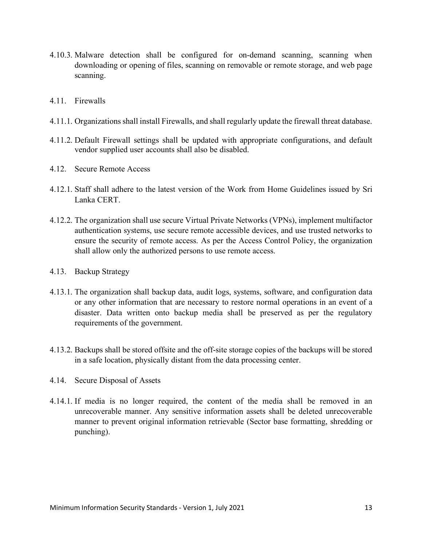- 4.10.3. Malware detection shall be configured for on-demand scanning, scanning when downloading or opening of files, scanning on removable or remote storage, and web page scanning.
- 4.11. Firewalls
- 4.11.1. Organizations shall install Firewalls, and shall regularly update the firewall threat database.
- 4.11.2. Default Firewall settings shall be updated with appropriate configurations, and default vendor supplied user accounts shall also be disabled.
- 4.12. Secure Remote Access
- 4.12.1. Staff shall adhere to the latest version of the Work from Home Guidelines issued by Sri Lanka CERT.
- 4.12.2. The organization shall use secure Virtual Private Networks (VPNs), implement multifactor authentication systems, use secure remote accessible devices, and use trusted networks to ensure the security of remote access. As per the Access Control Policy, the organization shall allow only the authorized persons to use remote access.
- 4.13. Backup Strategy
- 4.13.1. The organization shall backup data, audit logs, systems, software, and configuration data or any other information that are necessary to restore normal operations in an event of a disaster. Data written onto backup media shall be preserved as per the regulatory requirements of the government.
- 4.13.2. Backups shall be stored offsite and the off-site storage copies of the backups will be stored in a safe location, physically distant from the data processing center.
- 4.14. Secure Disposal of Assets
- 4.14.1. If media is no longer required, the content of the media shall be removed in an unrecoverable manner. Any sensitive information assets shall be deleted unrecoverable manner to prevent original information retrievable (Sector base formatting, shredding or punching).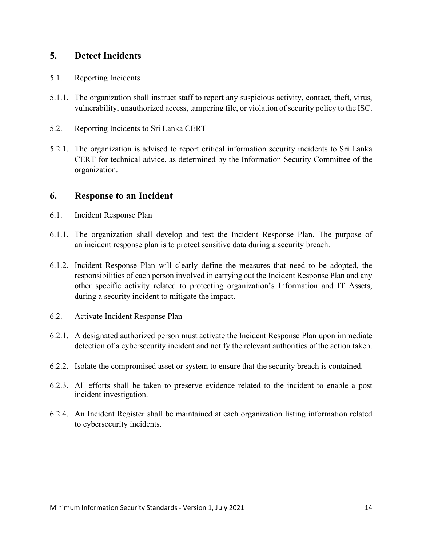#### **5. Detect Incidents**

- 5.1. Reporting Incidents
- 5.1.1. The organization shall instruct staff to report any suspicious activity, contact, theft, virus, vulnerability, unauthorized access, tampering file, or violation of security policy to the ISC.
- 5.2. Reporting Incidents to Sri Lanka CERT
- 5.2.1. The organization is advised to report critical information security incidents to Sri Lanka CERT for technical advice, as determined by the Information Security Committee of the organization.

#### **6. Response to an Incident**

- 6.1. Incident Response Plan
- 6.1.1. The organization shall develop and test the Incident Response Plan. The purpose of an incident response plan is to protect sensitive data during a security breach.
- 6.1.2. Incident Response Plan will clearly define the measures that need to be adopted, the responsibilities of each person involved in carrying out the Incident Response Plan and any other specific activity related to protecting organization's Information and IT Assets, during a security incident to mitigate the impact.
- 6.2. Activate Incident Response Plan
- 6.2.1. A designated authorized person must activate the Incident Response Plan upon immediate detection of a cybersecurity incident and notify the relevant authorities of the action taken.
- 6.2.2. Isolate the compromised asset or system to ensure that the security breach is contained.
- 6.2.3. All efforts shall be taken to preserve evidence related to the incident to enable a post incident investigation.
- 6.2.4. An Incident Register shall be maintained at each organization listing information related to cybersecurity incidents.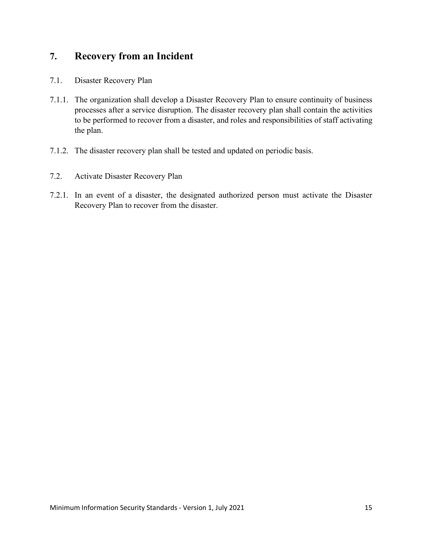#### **7. Recovery from an Incident**

- 7.1. Disaster Recovery Plan
- 7.1.1. The organization shall develop a Disaster Recovery Plan to ensure continuity of business processes after a service disruption. The disaster recovery plan shall contain the activities to be performed to recover from a disaster, and roles and responsibilities of staff activating the plan.
- 7.1.2. The disaster recovery plan shall be tested and updated on periodic basis.
- 7.2. Activate Disaster Recovery Plan
- 7.2.1. In an event of a disaster, the designated authorized person must activate the Disaster Recovery Plan to recover from the disaster.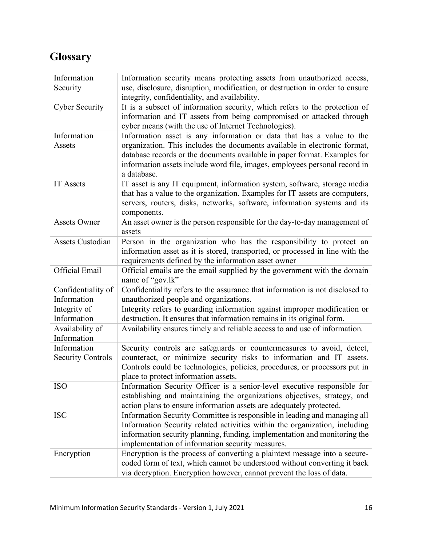### **Glossary**

| Information                       | Information security means protecting assets from unauthorized access,                                                                                 |
|-----------------------------------|--------------------------------------------------------------------------------------------------------------------------------------------------------|
| Security                          | use, disclosure, disruption, modification, or destruction in order to ensure                                                                           |
|                                   | integrity, confidentiality, and availability.                                                                                                          |
| <b>Cyber Security</b>             | It is a subsect of information security, which refers to the protection of                                                                             |
|                                   | information and IT assets from being compromised or attacked through                                                                                   |
|                                   | cyber means (with the use of Internet Technologies).                                                                                                   |
| Information                       | Information asset is any information or data that has a value to the                                                                                   |
| Assets                            | organization. This includes the documents available in electronic format,<br>database records or the documents available in paper format. Examples for |
|                                   | information assets include word file, images, employees personal record in<br>a database.                                                              |
| <b>IT Assets</b>                  | IT asset is any IT equipment, information system, software, storage media                                                                              |
|                                   | that has a value to the organization. Examples for IT assets are computers,                                                                            |
|                                   | servers, routers, disks, networks, software, information systems and its                                                                               |
|                                   | components.                                                                                                                                            |
| <b>Assets Owner</b>               | An asset owner is the person responsible for the day-to-day management of                                                                              |
|                                   | assets                                                                                                                                                 |
| <b>Assets Custodian</b>           | Person in the organization who has the responsibility to protect an                                                                                    |
|                                   | information asset as it is stored, transported, or processed in line with the                                                                          |
|                                   | requirements defined by the information asset owner                                                                                                    |
| <b>Official Email</b>             | Official emails are the email supplied by the government with the domain                                                                               |
|                                   | name of "gov.lk"                                                                                                                                       |
| Confidentiality of<br>Information | Confidentiality refers to the assurance that information is not disclosed to<br>unauthorized people and organizations.                                 |
| Integrity of                      | Integrity refers to guarding information against improper modification or                                                                              |
| Information                       | destruction. It ensures that information remains in its original form.                                                                                 |
| Availability of                   | Availability ensures timely and reliable access to and use of information.                                                                             |
| Information                       |                                                                                                                                                        |
| Information                       | Security controls are safeguards or countermeasures to avoid, detect,                                                                                  |
| <b>Security Controls</b>          | counteract, or minimize security risks to information and IT assets.                                                                                   |
|                                   | Controls could be technologies, policies, procedures, or processors put in                                                                             |
|                                   | place to protect information assets.                                                                                                                   |
| <b>ISO</b>                        | Information Security Officer is a senior-level executive responsible for                                                                               |
|                                   | establishing and maintaining the organizations objectives, strategy, and                                                                               |
|                                   | action plans to ensure information assets are adequately protected.                                                                                    |
| <b>ISC</b>                        | Information Security Committee is responsible in leading and managing all                                                                              |
|                                   | Information Security related activities within the organization, including                                                                             |
|                                   | information security planning, funding, implementation and monitoring the                                                                              |
|                                   | implementation of information security measures.                                                                                                       |
| Encryption                        | Encryption is the process of converting a plaintext message into a secure-                                                                             |
|                                   | coded form of text, which cannot be understood without converting it back                                                                              |
|                                   | via decryption. Encryption however, cannot prevent the loss of data.                                                                                   |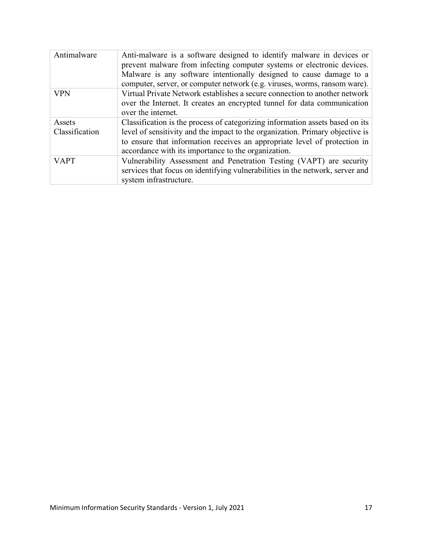| Antimalware              | Anti-malware is a software designed to identify malware in devices or<br>prevent malware from infecting computer systems or electronic devices.<br>Malware is any software intentionally designed to cause damage to a<br>computer, server, or computer network (e.g. viruses, worms, ransom ware). |
|--------------------------|-----------------------------------------------------------------------------------------------------------------------------------------------------------------------------------------------------------------------------------------------------------------------------------------------------|
| <b>VPN</b>               | Virtual Private Network establishes a secure connection to another network<br>over the Internet. It creates an encrypted tunnel for data communication<br>over the internet.                                                                                                                        |
| Assets<br>Classification | Classification is the process of categorizing information assets based on its<br>level of sensitivity and the impact to the organization. Primary objective is<br>to ensure that information receives an appropriate level of protection in<br>accordance with its importance to the organization.  |
| <b>VAPT</b>              | Vulnerability Assessment and Penetration Testing (VAPT) are security<br>services that focus on identifying vulnerabilities in the network, server and<br>system infrastructure.                                                                                                                     |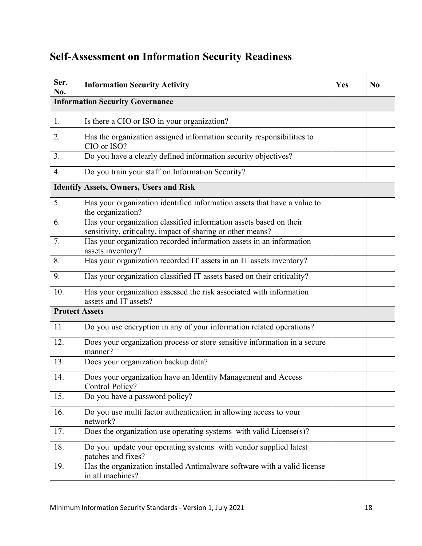## **Self-Assessment on Information Security Readiness**

| Ser.<br>No.           | <b>Information Security Activity</b>                                                                                              | Yes | N <sub>0</sub> |
|-----------------------|-----------------------------------------------------------------------------------------------------------------------------------|-----|----------------|
|                       | <b>Information Security Governance</b>                                                                                            |     |                |
| $1_{\cdot}$           | Is there a CIO or ISO in your organization?                                                                                       |     |                |
| 2.                    | Has the organization assigned information security responsibilities to<br>CIO or ISO?                                             |     |                |
| 3.                    | Do you have a clearly defined information security objectives?                                                                    |     |                |
| $\overline{4}$ .      | Do you train your staff on Information Security?                                                                                  |     |                |
|                       | <b>Identify Assets, Owners, Users and Risk</b>                                                                                    |     |                |
| 5 <sub>1</sub>        | Has your organization identified information assets that have a value to<br>the organization?                                     |     |                |
| 6.                    | Has your organization classified information assets based on their<br>sensitivity, criticality, impact of sharing or other means? |     |                |
| 7.                    | Has your organization recorded information assets in an information<br>assets inventory?                                          |     |                |
| 8.                    | Has your organization recorded IT assets in an IT assets inventory?                                                               |     |                |
| 9.                    | Has your organization classified IT assets based on their criticality?                                                            |     |                |
| 10.                   | Has your organization assessed the risk associated with information<br>assets and IT assets?                                      |     |                |
| <b>Protect Assets</b> |                                                                                                                                   |     |                |
| 11.                   | Do you use encryption in any of your information related operations?                                                              |     |                |
| 12.                   | Does your organization process or store sensitive information in a secure<br>manner?                                              |     |                |
| 13.                   | Does your organization backup data?                                                                                               |     |                |
| 14.                   | Does your organization have an Identity Management and Access<br>Control Policy?                                                  |     |                |
| 15.                   | Do you have a password policy?                                                                                                    |     |                |
| 16.                   | Do you use multi factor authentication in allowing access to your<br>network?                                                     |     |                |
| 17.                   | Does the organization use operating systems with valid License(s)?                                                                |     |                |
| 18.                   | Do you update your operating systems with vendor supplied latest<br>patches and fixes?                                            |     |                |
| 19.                   | Has the organization installed Antimalware software with a valid license<br>in all machines?                                      |     |                |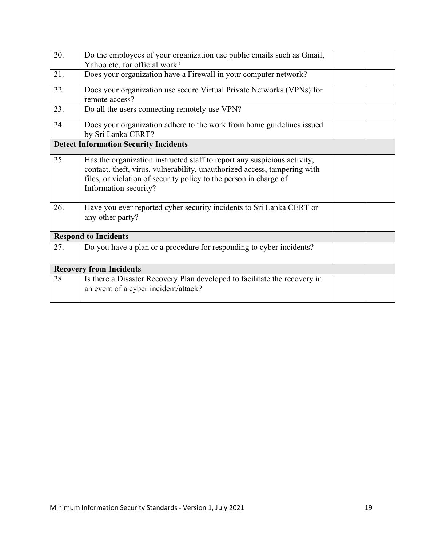| 20.                            | Do the employees of your organization use public emails such as Gmail,                                                                                                                                                                              |  |  |
|--------------------------------|-----------------------------------------------------------------------------------------------------------------------------------------------------------------------------------------------------------------------------------------------------|--|--|
|                                | Yahoo etc, for official work?                                                                                                                                                                                                                       |  |  |
| 21.                            | Does your organization have a Firewall in your computer network?                                                                                                                                                                                    |  |  |
| 22.                            | Does your organization use secure Virtual Private Networks (VPNs) for<br>remote access?                                                                                                                                                             |  |  |
| 23.                            | Do all the users connecting remotely use VPN?                                                                                                                                                                                                       |  |  |
| 24.                            | Does your organization adhere to the work from home guidelines issued<br>by Sri Lanka CERT?                                                                                                                                                         |  |  |
|                                | <b>Detect Information Security Incidents</b>                                                                                                                                                                                                        |  |  |
| 25.                            | Has the organization instructed staff to report any suspicious activity,<br>contact, theft, virus, vulnerability, unauthorized access, tampering with<br>files, or violation of security policy to the person in charge of<br>Information security? |  |  |
| 26.                            | Have you ever reported cyber security incidents to Sri Lanka CERT or<br>any other party?                                                                                                                                                            |  |  |
|                                | <b>Respond to Incidents</b>                                                                                                                                                                                                                         |  |  |
| 27.                            | Do you have a plan or a procedure for responding to cyber incidents?                                                                                                                                                                                |  |  |
| <b>Recovery from Incidents</b> |                                                                                                                                                                                                                                                     |  |  |
| 28.                            | Is there a Disaster Recovery Plan developed to facilitate the recovery in<br>an event of a cyber incident/attack?                                                                                                                                   |  |  |